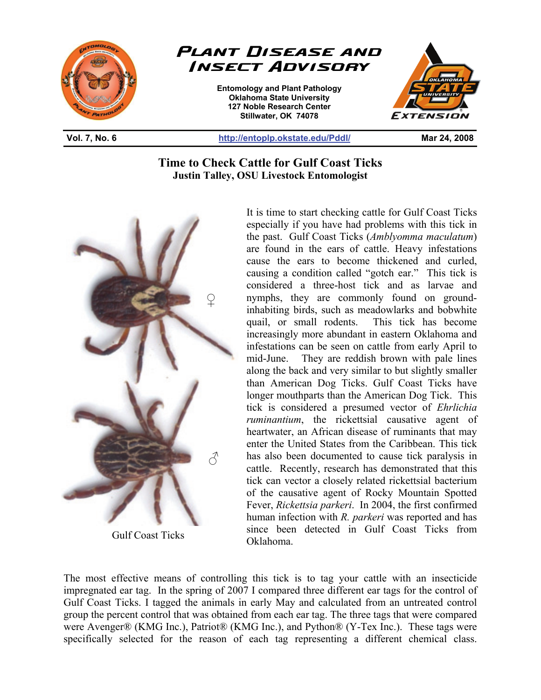



**Entomology and Plant Pathology Oklahoma State University 127 Noble Research Center Stillwater, OK 74078** 



**Vol. 7, No. 6 http://entoplp.okstate.edu/Pddl/ Mar 24, 2008** 

## **Time to Check Cattle for Gulf Coast Ticks Justin Talley, OSU Livestock Entomologist**

֦



Gulf Coast Ticks

It is time to start checking cattle for Gulf Coast Ticks especially if you have had problems with this tick in the past. Gulf Coast Ticks (*Amblyomma maculatum*) are found in the ears of cattle. Heavy infestations cause the ears to become thickened and curled, causing a condition called "gotch ear." This tick is considered a three-host tick and as larvae and nymphs, they are commonly found on groundinhabiting birds, such as meadowlarks and bobwhite quail, or small rodents. This tick has become increasingly more abundant in eastern Oklahoma and infestations can be seen on cattle from early April to mid-June. They are reddish brown with pale lines along the back and very similar to but slightly smaller than American Dog Ticks. Gulf Coast Ticks have longer mouthparts than the American Dog Tick. This tick is considered a presumed vector of *Ehrlichia ruminantium*, the rickettsial causative agent of heartwater, an African disease of ruminants that may enter the United States from the Caribbean. This tick has also been documented to cause tick paralysis in cattle. Recently, research has demonstrated that this tick can vector a closely related rickettsial bacterium of the causative agent of Rocky Mountain Spotted Fever, *Rickettsia parkeri*. In 2004, the first confirmed human infection with *R. parkeri* was reported and has since been detected in Gulf Coast Ticks from Oklahoma.

The most effective means of controlling this tick is to tag your cattle with an insecticide impregnated ear tag. In the spring of 2007 I compared three different ear tags for the control of Gulf Coast Ticks. I tagged the animals in early May and calculated from an untreated control group the percent control that was obtained from each ear tag. The three tags that were compared were Avenger® (KMG Inc.), Patriot® (KMG Inc.), and Python® (Y-Tex Inc.). These tags were specifically selected for the reason of each tag representing a different chemical class.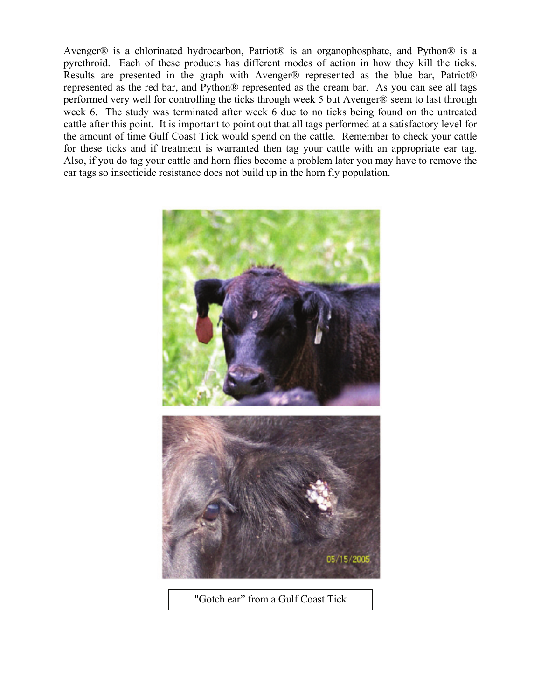Avenger® is a chlorinated hydrocarbon, Patriot® is an organophosphate, and Python® is a pyrethroid. Each of these products has different modes of action in how they kill the ticks. Results are presented in the graph with Avenger® represented as the blue bar, Patriot® represented as the red bar, and Python® represented as the cream bar. As you can see all tags performed very well for controlling the ticks through week 5 but Avenger® seem to last through week 6. The study was terminated after week 6 due to no ticks being found on the untreated cattle after this point. It is important to point out that all tags performed at a satisfactory level for the amount of time Gulf Coast Tick would spend on the cattle. Remember to check your cattle for these ticks and if treatment is warranted then tag your cattle with an appropriate ear tag. Also, if you do tag your cattle and horn flies become a problem later you may have to remove the ear tags so insecticide resistance does not build up in the horn fly population.



"Gotch ear" from a Gulf Coast Tick